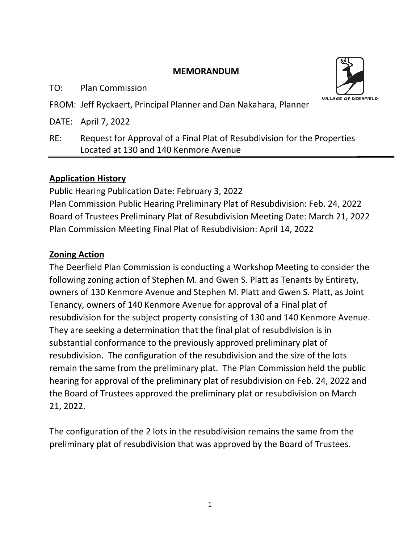#### **MEMORANDUM**

TO: Plan Commission



FROM: Jeff Ryckaert, Principal Planner and Dan Nakahara, Planner

DATE: April 7, 2022

RE: Request for Approval of a Final Plat of Resubdivision for the Properties Located at 130 and 140 Kenmore Avenue

### **Application History**

Public Hearing Publication Date: February 3, 2022 Plan Commission Public Hearing Preliminary Plat of Resubdivision: Feb. 24, 2022 Board of Trustees Preliminary Plat of Resubdivision Meeting Date: March 21, 2022 Plan Commission Meeting Final Plat of Resubdivision: April 14, 2022

## **Zoning Action**

The Deerfield Plan Commission is conducting a Workshop Meeting to consider the following zoning action of Stephen M. and Gwen S. Platt as Tenants by Entirety, owners of 130 Kenmore Avenue and Stephen M. Platt and Gwen S. Platt, as Joint Tenancy, owners of 140 Kenmore Avenue for approval of a Final plat of resubdivision for the subject property consisting of 130 and 140 Kenmore Avenue. They are seeking a determination that the final plat of resubdivision is in substantial conformance to the previously approved preliminary plat of resubdivision. The configuration of the resubdivision and the size of the lots remain the same from the preliminary plat. The Plan Commission held the public hearing for approval of the preliminary plat of resubdivision on Feb. 24, 2022 and the Board of Trustees approved the preliminary plat or resubdivision on March 21, 2022.

The configuration of the 2 lots in the resubdivision remains the same from the preliminary plat of resubdivision that was approved by the Board of Trustees.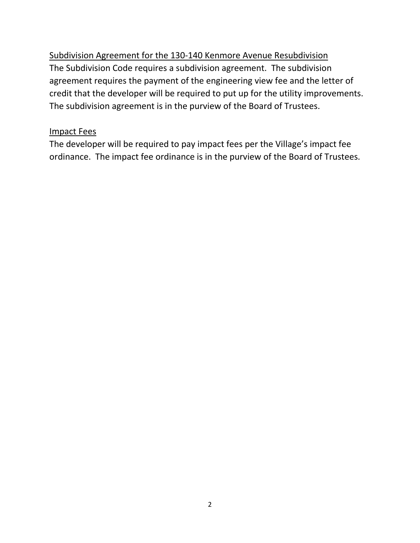Subdivision Agreement for the 130-140 Kenmore Avenue Resubdivision The Subdivision Code requires a subdivision agreement. The subdivision agreement requires the payment of the engineering view fee and the letter of credit that the developer will be required to put up for the utility improvements. The subdivision agreement is in the purview of the Board of Trustees.

#### Impact Fees

The developer will be required to pay impact fees per the Village's impact fee ordinance. The impact fee ordinance is in the purview of the Board of Trustees.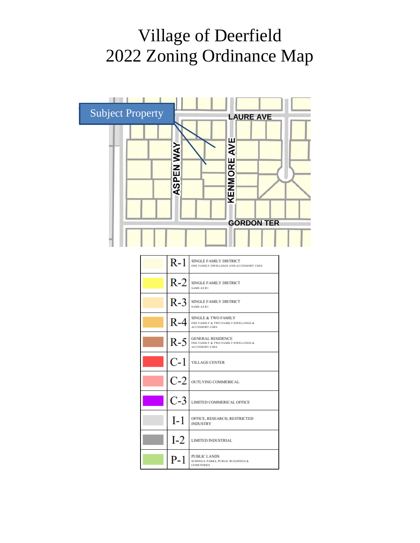# Village of Deerfield 2022 Zoning Ordinance Map



| $R-1$ | <b>SINGLE FAMILY DISTRICT</b><br>ONE FAMILY DWELLINGS AND ACCESSORY USES                       |
|-------|------------------------------------------------------------------------------------------------|
|       | $R-2$ SINGLE FAMILY DISTRICT<br><b>SAME AS R1</b>                                              |
| $R-3$ | <b>SINGLE FAMILY DISTRICT</b><br><b>SAME AS R1</b>                                             |
| $R-4$ | <b>SINGLE &amp; TWO FAMILY</b><br>ONE FAMILY & TWO FAMILY DWELLINGS &<br><b>ACCESSORY USES</b> |
| $R-5$ | <b>GENERAL RESIDENCE</b><br>ONE FAMILY & TWO FAMILY DWELLINGS &<br><b>ACCESSORY USES</b>       |
| C-1   | <b>VILLAGE CENTER</b>                                                                          |
|       | $C$ - $2$   outlying commerical                                                                |
| $C-3$ | <b>LIMITED COMMERICAL OFFICE</b>                                                               |
| $I-1$ | <b>OFFICE, RESEARCH, RESTRICTED</b><br><b>INDUSTRY</b>                                         |
| $I-2$ | <b>LIMITED INDUSTRIAL</b>                                                                      |
| $P-1$ | <b>PUBLIC LANDS</b><br><b>SCHOOLS, PARKS, PUBLIC BUILDINGS &amp;</b><br><b>CEMETERIES</b>      |